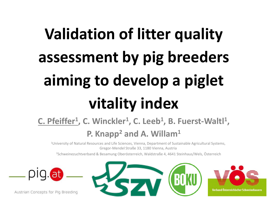# **Validation of litter quality assessment by pig breeders aiming to develop a piglet vitality index**

#### **C. Pfeiffer<sup>1</sup></u>, C. Winckler<sup>1</sup>, C. Leeb<sup>1</sup>, B. Fuerst-Waltl<sup>1</sup>, P. Knapp<sup>2</sup> and A. Willam<sup>1</sup>**

<sup>1</sup>University of Natural Resources and Life Sciences, Vienna, Department of Sustainable Agricultural Systems, Gregor-Mendel Straße 33, 1180 Vienna, Austria

2Schweinezuchtverband & Besamung Oberösterreich, Waldstraße 4, 4641 Steinhaus/Wels, Österreich



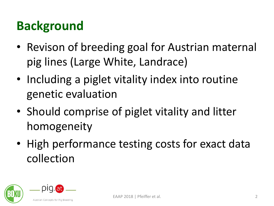# **Background**

- Revison of breeding goal for Austrian maternal pig lines (Large White, Landrace)
- Including a piglet vitality index into routine genetic evaluation
- Should comprise of piglet vitality and litter homogeneity
- High performance testing costs for exact data collection



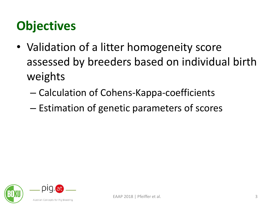# **Objectives**

- Validation of a litter homogeneity score assessed by breeders based on individual birth weights
	- Calculation of Cohens-Kappa-coefficients
	- Estimation of genetic parameters of scores

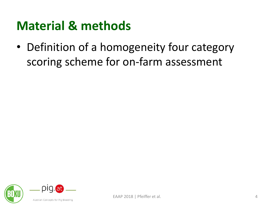• Definition of a homogeneity four category scoring scheme for on-farm assessment



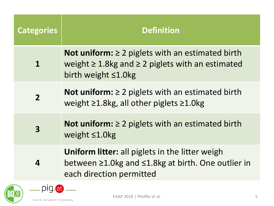| <b>Categories</b>       | <b>Definition</b>                                                                                                                                  |
|-------------------------|----------------------------------------------------------------------------------------------------------------------------------------------------|
| 1                       | Not uniform: $\geq 2$ piglets with an estimated birth<br>weight $\geq 1.8$ kg and $\geq 2$ piglets with an estimated<br>birth weight $\leq 1.0$ kg |
| $\overline{2}$          | <b>Not uniform:</b> $\geq 2$ piglets with an estimated birth<br>weight $\geq$ 1.8kg, all other piglets $\geq$ 1.0kg                                |
| $\overline{\mathbf{3}}$ | <b>Not uniform:</b> $\geq 2$ piglets with an estimated birth<br>weight $\leq 1.0$ kg                                                               |
| $\boldsymbol{4}$        | <b>Uniform litter:</b> all piglets in the litter weigh<br>between ≥1.0kg and ≤1.8kg at birth. One outlier in<br>each direction permitted           |
| $\mathbf{H}$            |                                                                                                                                                    |

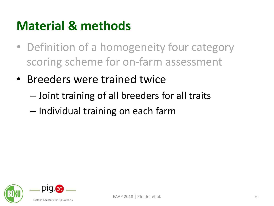- Definition of a homogeneity four category scoring scheme for on-farm assessment
- Breeders were trained twice
	- Joint training of all breeders for all traits
	- Individual training on each farm

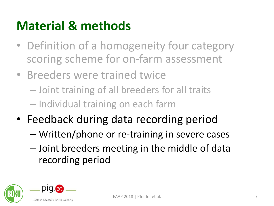- Definition of a homogeneity four category scoring scheme for on-farm assessment
- Breeders were trained twice
	- Joint training of all breeders for all traits
	- Individual training on each farm
- Feedback during data recording period
	- Written/phone or re-training in severe cases
	- Joint breeders meeting in the middle of data recording period



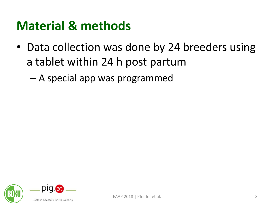• Data collection was done by 24 breeders using a tablet within 24 h post partum

– A special app was programmed



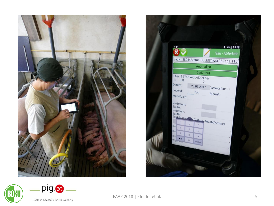

| Sau - Abferkeln<br>SauNr:38944Status: BELEGT Wurf: 6 Tage: 115<br>Anomalien                                                                                                                                                                                                                              |  |
|----------------------------------------------------------------------------------------------------------------------------------------------------------------------------------------------------------------------------------------------------------------------------------------------------------|--|
| OptiZucht                                                                                                                                                                                                                                                                                                |  |
| Eber 4 7746 WOLASK/Eber<br>1:<br>LR<br>2:<br>Datum:<br>23.07.2017<br>Verworfen:<br>Lebend:<br>Tot:<br>Männl.:<br>Mumifiziert<br>V+/Datum/<br>SauNr:<br>V-/Datum/<br>SauNr:<br>Zurkünstl Antale (Datum/Anzahl/Amme)<br>3<br>Kol<br>A.<br>S<br>Kol<br>6<br>7<br>8<br>Kol<br>$\overline{9}$<br>G<br>Wurmore |  |



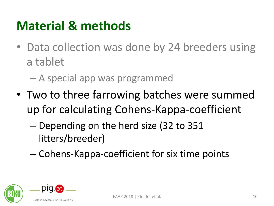- Data collection was done by 24 breeders using a tablet
	- A special app was programmed
- Two to three farrowing batches were summed up for calculating Cohens-Kappa-coefficient
	- Depending on the herd size (32 to 351 litters/breeder)
	- Cohens-Kappa-coefficient for six time points

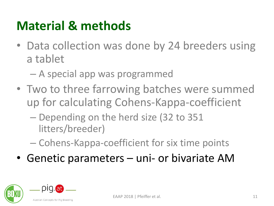- Data collection was done by 24 breeders using a tablet
	- A special app was programmed
- Two to three farrowing batches were summed up for calculating Cohens-Kappa-coefficient
	- Depending on the herd size (32 to 351 litters/breeder)
	- Cohens-Kappa-coefficient for six time points
- Genetic parameters uni- or bivariate AM

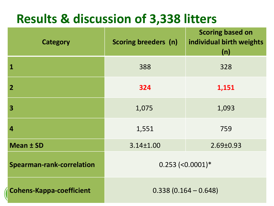#### **Results & discussion of 3,338 litters**

| <b>Category</b>                  | <b>Scoring breeders (n)</b> | <b>Scoring based on</b><br>individual birth weights<br>(n) |
|----------------------------------|-----------------------------|------------------------------------------------------------|
| $\mathbf{1}$                     | 388                         | 328                                                        |
| $\overline{2}$                   | 324                         | 1,151                                                      |
| 3                                | 1,075                       | 1,093                                                      |
| 4                                | 1,551                       | 759                                                        |
| <b>Mean ± SD</b>                 | 3.14±1.00                   | 2.69±0.93                                                  |
| <b>Spearman-rank-correlation</b> | $0.253$ (<0.0001)*          |                                                            |
| <b>Cohens-Kappa-coefficient</b>  | $0.338(0.164 - 0.648)$      |                                                            |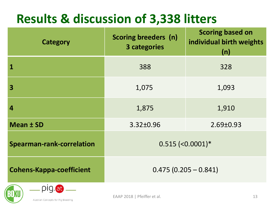# **Results & discussion of 3,338 litters**

| <b>Category</b>                  | <b>Scoring breeders (n)</b><br>3 categories | <b>Scoring based on</b><br>individual birth weights<br>(n) |
|----------------------------------|---------------------------------------------|------------------------------------------------------------|
| $\mathbf 1$                      | 388                                         | 328                                                        |
| 3                                | 1,075                                       | 1,093                                                      |
| 4                                | 1,875                                       | 1,910                                                      |
| <b>Mean ± SD</b>                 | 3.32±0.96                                   | 2.69±0.93                                                  |
| <b>Spearman-rank-correlation</b> | $0.515$ (<0.0001)*                          |                                                            |
| <b>Cohens-Kappa-coefficient</b>  | $0.475(0.205 - 0.841)$                      |                                                            |
| $\bigcap \bigcap$                |                                             |                                                            |

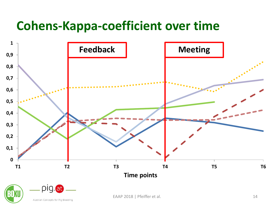#### **Cohens-Kappa-coefficient over time**

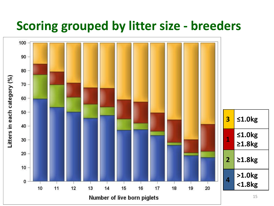#### **Scoring grouped by litter size - breeders**

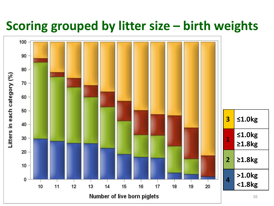#### **Scoring grouped by litter size – birth weights**

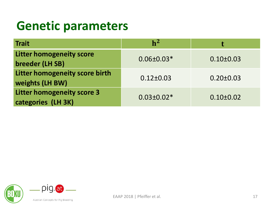#### **Genetic parameters**

| <b>Trait</b>                                             | $\mathbf{h}^2$   |                 |
|----------------------------------------------------------|------------------|-----------------|
| <b>Litter homogeneity score</b><br>breeder (LH SB)       | $0.06 \pm 0.03*$ | $0.10 \pm 0.03$ |
| Litter homogeneity score birth<br><b>weights (LH BW)</b> | $0.12 \pm 0.03$  | $0.20 \pm 0.03$ |
| <b>Litter homogeneity score 3</b><br>categories (LH 3K)  | $0.03 \pm 0.02*$ | $0.10 \pm 0.02$ |

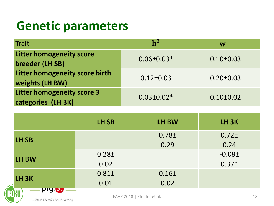### **Genetic parameters**

| <b>Trait</b>                                            | $\mathbf{h}^2$   | W               |
|---------------------------------------------------------|------------------|-----------------|
| <b>Litter homogeneity score</b><br>breeder (LH SB)      | $0.06 \pm 0.03*$ | $0.10 \pm 0.03$ |
| Litter homogeneity score birth<br>weights (LH BW)       | $0.12 \pm 0.03$  | $0.20 \pm 0.03$ |
| <b>Litter homogeneity score 3</b><br>categories (LH 3K) | $0.03 \pm 0.02*$ | $0.10 \pm 0.02$ |

|                            | LH <sub>SB</sub>  | LH BW             | LH <sub>3K</sub>  |
|----------------------------|-------------------|-------------------|-------------------|
| LH <sub>SB</sub>           |                   | 0.78 <sub>±</sub> | 0.72 <sub>±</sub> |
|                            |                   | 0.29              | 0.24              |
| LH BW                      | $0.28 +$          |                   | $-0.08±$          |
|                            | 0.02              |                   | $0.37*$           |
| LH <sub>3K</sub>           | 0.81 <sub>±</sub> | 0.16 <sub>±</sub> |                   |
|                            | 0.01              | 0.02              |                   |
| <b>PIY OF</b><br>Novemball |                   |                   |                   |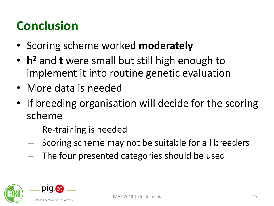# **Conclusion**

- Scoring scheme worked **moderately**
- **h <sup>2</sup>** and **t** were small but still high enough to implement it into routine genetic evaluation
- More data is needed
- If breeding organisation will decide for the scoring scheme
	- − Re-training is needed
	- Scoring scheme may not be suitable for all breeders
	- The four presented categories should be used